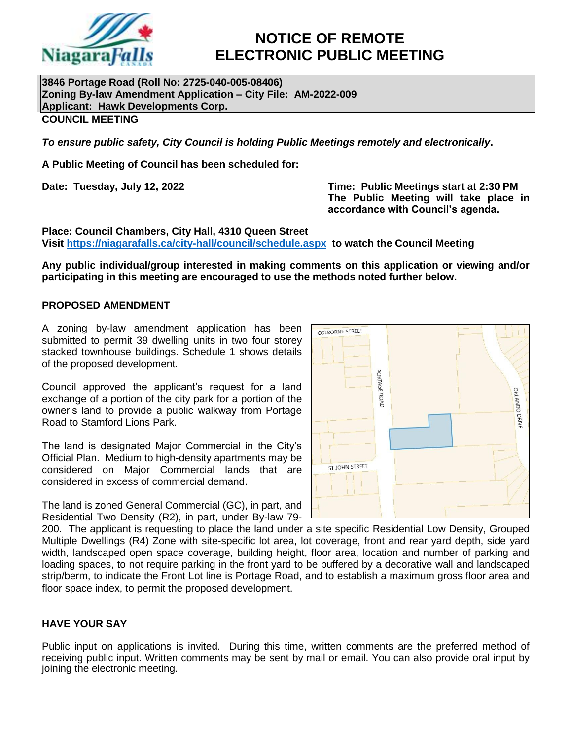

# **NOTICE OF REMOTE ELECTRONIC PUBLIC MEETING**

**3846 Portage Road (Roll No: 2725-040-005-08406) Zoning By-law Amendment Application – City File: AM-2022-009 Applicant: Hawk Developments Corp. COUNCIL MEETING**

*To ensure public safety, City Council is holding Public Meetings remotely and electronically***.**

**A Public Meeting of Council has been scheduled for:**

**Date: Tuesday, July 12, 2022 Time: Public Meetings start at 2:30 PM The Public Meeting will take place in accordance with Council's agenda.**

**Place: Council Chambers, City Hall, 4310 Queen Street Visit<https://niagarafalls.ca/city-hall/council/schedule.aspx> to watch the Council Meeting** 

**Any public individual/group interested in making comments on this application or viewing and/or participating in this meeting are encouraged to use the methods noted further below.**

#### **PROPOSED AMENDMENT**

A zoning by-law amendment application has been submitted to permit 39 dwelling units in two four storey stacked townhouse buildings. Schedule 1 shows details of the proposed development.

Council approved the applicant's request for a land exchange of a portion of the city park for a portion of the owner's land to provide a public walkway from Portage Road to Stamford Lions Park.

The land is designated Major Commercial in the City's Official Plan. Medium to high-density apartments may be considered on Major Commercial lands that are considered in excess of commercial demand.

The land is zoned General Commercial (GC), in part, and Residential Two Density (R2), in part, under By-law 79-



200. The applicant is requesting to place the land under a site specific Residential Low Density, Grouped Multiple Dwellings (R4) Zone with site-specific lot area, lot coverage, front and rear yard depth, side yard width, landscaped open space coverage, building height, floor area, location and number of parking and loading spaces, to not require parking in the front yard to be buffered by a decorative wall and landscaped strip/berm, to indicate the Front Lot line is Portage Road, and to establish a maximum gross floor area and floor space index, to permit the proposed development.

# **HAVE YOUR SAY**

Public input on applications is invited. During this time, written comments are the preferred method of receiving public input. Written comments may be sent by mail or email. You can also provide oral input by joining the electronic meeting.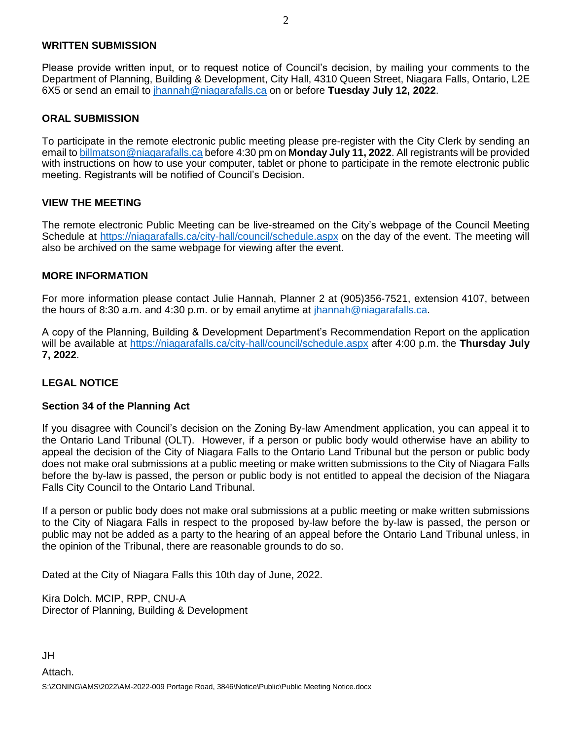#### **WRITTEN SUBMISSION**

Please provide written input, or to request notice of Council's decision, by mailing your comments to the Department of Planning, Building & Development, City Hall, 4310 Queen Street, Niagara Falls, Ontario, L2E 6X5 or send an email to [jhannah@niagarafalls.ca](mailto:jhannah@niagarafalls.ca) on or before **Tuesday July 12, 2022**.

### **ORAL SUBMISSION**

To participate in the remote electronic public meeting please pre-register with the City Clerk by sending an email to [billmatson@niagarafalls.ca](mailto:billmatson@niagarafalls.ca) before 4:30 pm on **Monday July 11, 2022**. All registrants will be provided with instructions on how to use your computer, tablet or phone to participate in the remote electronic public meeting. Registrants will be notified of Council's Decision.

#### **VIEW THE MEETING**

The remote electronic Public Meeting can be live-streamed on the City's webpage of the Council Meeting Schedule at<https://niagarafalls.ca/city-hall/council/schedule.aspx> on the day of the event. The meeting will also be archived on the same webpage for viewing after the event.

#### **MORE INFORMATION**

For more information please contact Julie Hannah, Planner 2 at (905)356-7521, extension 4107, between the hours of 8:30 a.m. and 4:30 p.m. or by email anytime at [jhannah@niagarafalls.ca.](mailto:jhannah@niagarafalls.ca)

A copy of the Planning, Building & Development Department's Recommendation Report on the application will be available at<https://niagarafalls.ca/city-hall/council/schedule.aspx> after 4:00 p.m. the **Thursday July 7, 2022**.

# **LEGAL NOTICE**

#### **Section 34 of the Planning Act**

If you disagree with Council's decision on the Zoning By-law Amendment application, you can appeal it to the Ontario Land Tribunal (OLT). However, if a person or public body would otherwise have an ability to appeal the decision of the City of Niagara Falls to the Ontario Land Tribunal but the person or public body does not make oral submissions at a public meeting or make written submissions to the City of Niagara Falls before the by-law is passed, the person or public body is not entitled to appeal the decision of the Niagara Falls City Council to the Ontario Land Tribunal.

If a person or public body does not make oral submissions at a public meeting or make written submissions to the City of Niagara Falls in respect to the proposed by-law before the by-law is passed, the person or public may not be added as a party to the hearing of an appeal before the Ontario Land Tribunal unless, in the opinion of the Tribunal, there are reasonable grounds to do so.

Dated at the City of Niagara Falls this 10th day of June, 2022.

Kira Dolch. MCIP, RPP, CNU-A Director of Planning, Building & Development